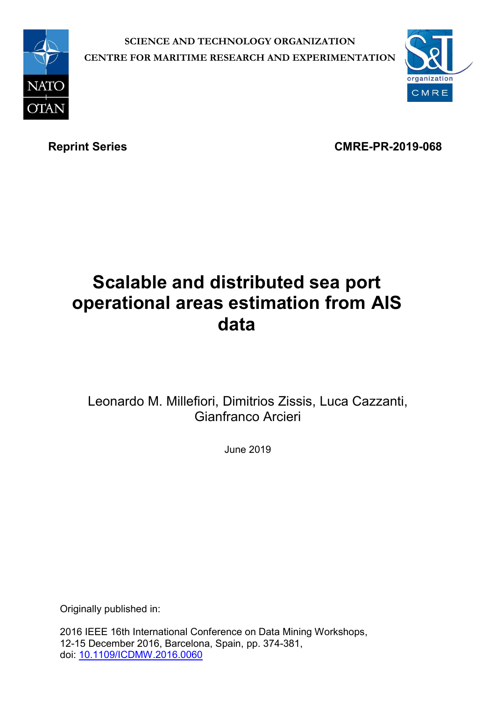

**SCIENCE AND TECHNOLOGY ORGANIZATION CENTRE FOR MARITIME RESEARCH AND EXPERIMENTATION**



Reprint Series **CMRE-PR-2019-068** 

# **Scalable and distributed sea port operational areas estimation from AIS data**

## Leonardo M. Millefiori, Dimitrios Zissis, Luca Cazzanti, Gianfranco Arcieri

June 2019

Originally published in:

2016 IEEE 16th International Conference on Data Mining Workshops, 12-15 December 2016, Barcelona, Spain, pp. 374-381, doi: [10.1109/ICDMW.2016.0060](https://doi.org/10.1109/ICDMW.2016.0060)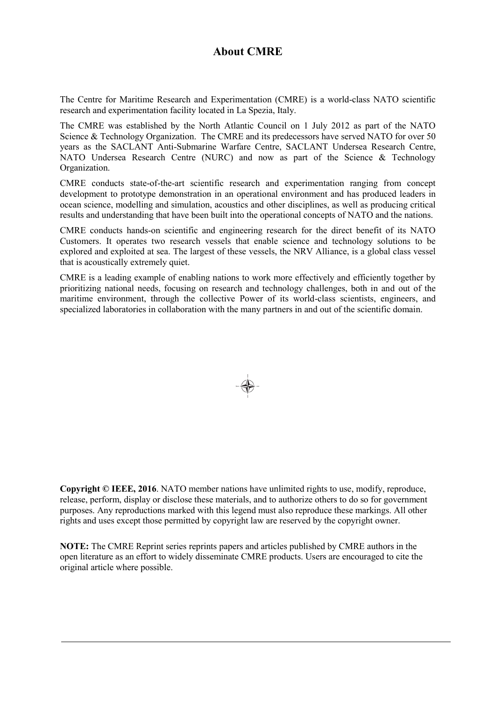### **About CMRE**

The Centre for Maritime Research and Experimentation (CMRE) is a world-class NATO scientific research and experimentation facility located in La Spezia, Italy.

The CMRE was established by the North Atlantic Council on 1 July 2012 as part of the NATO Science & Technology Organization. The CMRE and its predecessors have served NATO for over 50 years as the SACLANT Anti-Submarine Warfare Centre, SACLANT Undersea Research Centre, NATO Undersea Research Centre (NURC) and now as part of the Science & Technology Organization.

CMRE conducts state-of-the-art scientific research and experimentation ranging from concept development to prototype demonstration in an operational environment and has produced leaders in ocean science, modelling and simulation, acoustics and other disciplines, as well as producing critical results and understanding that have been built into the operational concepts of NATO and the nations.

CMRE conducts hands-on scientific and engineering research for the direct benefit of its NATO Customers. It operates two research vessels that enable science and technology solutions to be explored and exploited at sea. The largest of these vessels, the NRV Alliance, is a global class vessel that is acoustically extremely quiet.

CMRE is a leading example of enabling nations to work more effectively and efficiently together by prioritizing national needs, focusing on research and technology challenges, both in and out of the maritime environment, through the collective Power of its world-class scientists, engineers, and specialized laboratories in collaboration with the many partners in and out of the scientific domain.



**Copyright © IEEE, 2016**. NATO member nations have unlimited rights to use, modify, reproduce, release, perform, display or disclose these materials, and to authorize others to do so for government purposes. Any reproductions marked with this legend must also reproduce these markings. All other rights and uses except those permitted by copyright law are reserved by the copyright owner.

**NOTE:** The CMRE Reprint series reprints papers and articles published by CMRE authors in the open literature as an effort to widely disseminate CMRE products. Users are encouraged to cite the original article where possible.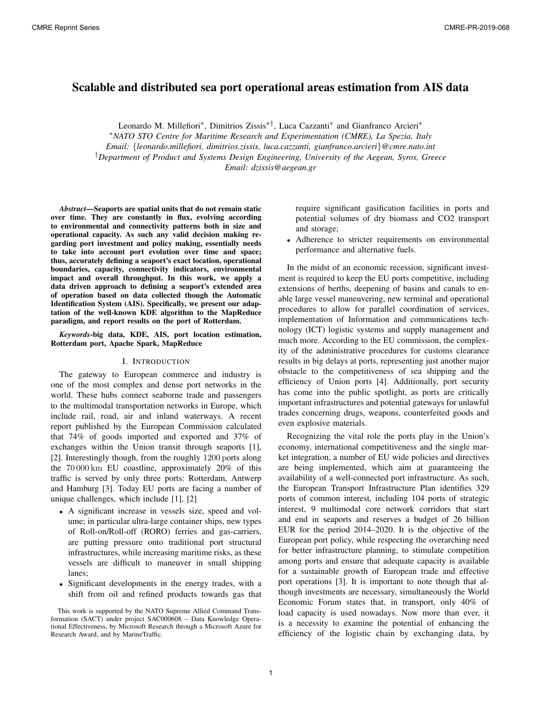### Scalable and distributed sea port operational areas estimation from AIS data

Leonardo M. Millefiori∗, Dimitrios Zissis∗†, Luca Cazzanti∗ and Gianfranco Arcieri∗

∗*NATO STO Centre for Maritime Research and Experimentation (CMRE), La Spezia, Italy*

*Email:* {*leonardo.millefiori, dimitrios.zissis, luca.cazzanti, gianfranco.arcieri*}*@cmre.nato.int*

†*Department of Product and Systems Design Engineering, University of the Aegean, Syros, Greece*

*Email: dzissis@aegean.gr*

*Abstract*—Seaports are spatial units that do not remain static over time. They are constantly in flux, evolving according to environmental and connectivity patterns both in size and operational capacity. As such any valid decision making regarding port investment and policy making, essentially needs to take into account port evolution over time and space; thus, accurately defining a seaport's exact location, operational boundaries, capacity, connectivity indicators, environmental impact and overall throughput. In this work, we apply a data driven approach to defining a seaport's extended area of operation based on data collected though the Automatic Identification System (AIS). Specifically, we present our adaptation of the well-known KDE algorithm to the MapReduce paradigm, and report results on the port of Rotterdam.

*Keywords*-big data, KDE, AIS, port location estimation, Rotterdam port, Apache Spark, MapReduce

#### I. INTRODUCTION

The gateway to European commerce and industry is one of the most complex and dense port networks in the world. These hubs connect seaborne trade and passengers to the multimodal transportation networks in Europe, which include rail, road, air and inland waterways. A recent report published by the European Commission calculated that 74% of goods imported and exported and 37% of exchanges within the Union transit through seaports [1], [2]. Interestingly though, from the roughly 1200 ports along the 70 000 km EU coastline, approximately 20% of this traffic is served by only three ports: Rotterdam, Antwerp and Hamburg [3]. Today EU ports are facing a number of unique challenges, which include [1], [2]

- A significant increase in vessels size, speed and volume; in particular ultra-large container ships, new types of Roll-on/Roll-off (RORO) ferries and gas-carriers, are putting pressure onto traditional port structural infrastructures, while increasing maritime risks, as these vessels are difficult to maneuver in small shipping lanes;
- Significant developments in the energy trades, with a shift from oil and refined products towards gas that

require significant gasification facilities in ports and potential volumes of dry biomass and CO2 transport and storage;

• Adherence to stricter requirements on environmental performance and alternative fuels.

In the midst of an economic recession, significant investment is required to keep the EU ports competitive, including extensions of berths, deepening of basins and canals to enable large vessel maneuvering, new terminal and operational procedures to allow for parallel coordination of services, implementation of Information and communications technology (ICT) logistic systems and supply management and much more. According to the EU commission, the complexity of the administrative procedures for customs clearance results in big delays at ports, representing just another major obstacle to the competitiveness of sea shipping and the efficiency of Union ports [4]. Additionally, port security has come into the public spotlight, as ports are critically important infrastructures and potential gateways for unlawful trades concerning drugs, weapons, counterfeited goods and even explosive materials.

Recognizing the vital role the ports play in the Union's economy, international competitiveness and the single market integration, a number of EU wide policies and directives are being implemented, which aim at guaranteeing the availability of a well-connected port infrastructure. As such, the European Transport Infrastructure Plan identifies 329 ports of common interest, including 104 ports of strategic interest, 9 multimodal core network corridors that start and end in seaports and reserves a budget of 26 billion EUR for the period 2014–2020. It is the objective of the European port policy, while respecting the overarching need for better infrastructure planning, to stimulate competition among ports and ensure that adequate capacity is available for a sustainable growth of European trade and effective port operations [3]. It is important to note though that although investments are necessary, simultaneously the World Economic Forum states that, in transport, only 40% of load capacity is used nowadays. Now more than ever, it is a necessity to examine the potential of enhancing the efficiency of the logistic chain by exchanging data, by

This work is supported by the NATO Supreme Allied Command Transformation (SACT) under project SAC000608 – Data Knowledge Operational Effectiveness, by Microsoft Research through a Microsoft Azure for Research Award, and by MarineTraffic.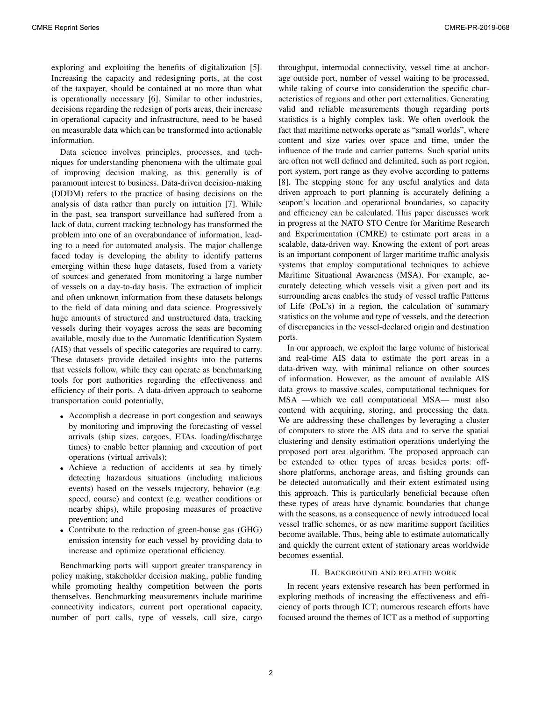exploring and exploiting the benefits of digitalization [5]. Increasing the capacity and redesigning ports, at the cost of the taxpayer, should be contained at no more than what is operationally necessary [6]. Similar to other industries, decisions regarding the redesign of ports areas, their increase in operational capacity and infrastructure, need to be based on measurable data which can be transformed into actionable information.

Data science involves principles, processes, and techniques for understanding phenomena with the ultimate goal of improving decision making, as this generally is of paramount interest to business. Data-driven decision-making (DDDM) refers to the practice of basing decisions on the analysis of data rather than purely on intuition [7]. While in the past, sea transport surveillance had suffered from a lack of data, current tracking technology has transformed the problem into one of an overabundance of information, leading to a need for automated analysis. The major challenge faced today is developing the ability to identify patterns emerging within these huge datasets, fused from a variety of sources and generated from monitoring a large number of vessels on a day-to-day basis. The extraction of implicit and often unknown information from these datasets belongs to the field of data mining and data science. Progressively huge amounts of structured and unstructured data, tracking vessels during their voyages across the seas are becoming available, mostly due to the Automatic Identification System (AIS) that vessels of specific categories are required to carry. These datasets provide detailed insights into the patterns that vessels follow, while they can operate as benchmarking tools for port authorities regarding the effectiveness and efficiency of their ports. A data-driven approach to seaborne transportation could potentially,

- Accomplish a decrease in port congestion and seaways by monitoring and improving the forecasting of vessel arrivals (ship sizes, cargoes, ETAs, loading/discharge times) to enable better planning and execution of port operations (virtual arrivals);
- Achieve a reduction of accidents at sea by timely detecting hazardous situations (including malicious events) based on the vessels trajectory, behavior (e.g. speed, course) and context (e.g. weather conditions or nearby ships), while proposing measures of proactive prevention; and
- Contribute to the reduction of green-house gas (GHG) emission intensity for each vessel by providing data to increase and optimize operational efficiency.

Benchmarking ports will support greater transparency in policy making, stakeholder decision making, public funding while promoting healthy competition between the ports themselves. Benchmarking measurements include maritime connectivity indicators, current port operational capacity, number of port calls, type of vessels, call size, cargo throughput, intermodal connectivity, vessel time at anchorage outside port, number of vessel waiting to be processed, while taking of course into consideration the specific characteristics of regions and other port externalities. Generating valid and reliable measurements though regarding ports statistics is a highly complex task. We often overlook the fact that maritime networks operate as "small worlds", where content and size varies over space and time, under the influence of the trade and carrier patterns. Such spatial units are often not well defined and delimited, such as port region, port system, port range as they evolve according to patterns [8]. The stepping stone for any useful analytics and data driven approach to port planning is accurately defining a seaport's location and operational boundaries, so capacity and efficiency can be calculated. This paper discusses work in progress at the NATO STO Centre for Maritime Research and Experimentation (CMRE) to estimate port areas in a scalable, data-driven way. Knowing the extent of port areas is an important component of larger maritime traffic analysis systems that employ computational techniques to achieve Maritime Situational Awareness (MSA). For example, accurately detecting which vessels visit a given port and its surrounding areas enables the study of vessel traffic Patterns of Life (PoL's) in a region, the calculation of summary statistics on the volume and type of vessels, and the detection of discrepancies in the vessel-declared origin and destination ports.

In our approach, we exploit the large volume of historical and real-time AIS data to estimate the port areas in a data-driven way, with minimal reliance on other sources of information. However, as the amount of available AIS data grows to massive scales, computational techniques for MSA —which we call computational MSA— must also contend with acquiring, storing, and processing the data. We are addressing these challenges by leveraging a cluster of computers to store the AIS data and to serve the spatial clustering and density estimation operations underlying the proposed port area algorithm. The proposed approach can be extended to other types of areas besides ports: offshore platforms, anchorage areas, and fishing grounds can be detected automatically and their extent estimated using this approach. This is particularly beneficial because often these types of areas have dynamic boundaries that change with the seasons, as a consequence of newly introduced local vessel traffic schemes, or as new maritime support facilities become available. Thus, being able to estimate automatically and quickly the current extent of stationary areas worldwide becomes essential.

#### II. BACKGROUND AND RELATED WORK

In recent years extensive research has been performed in exploring methods of increasing the effectiveness and efficiency of ports through ICT; numerous research efforts have focused around the themes of ICT as a method of supporting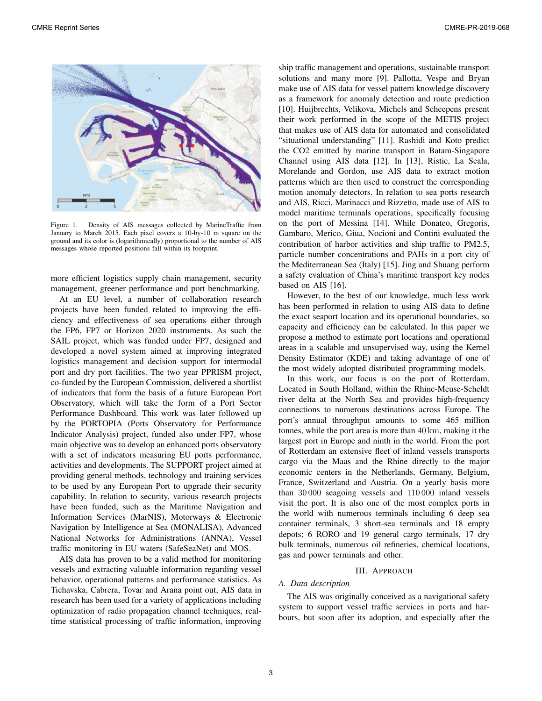

Figure 1. Density of AIS messages collected by MarineTraffic from January to March 2015. Each pixel covers a 10-by-10 m square on the ground and its color is (logarithmically) proportional to the number of AIS messages whose reported positions fall within its footprint.

more efficient logistics supply chain management, security management, greener performance and port benchmarking.

At an EU level, a number of collaboration research projects have been funded related to improving the efficiency and effectiveness of sea operations either through the FP6, FP7 or Horizon 2020 instruments. As such the SAIL project, which was funded under FP7, designed and developed a novel system aimed at improving integrated logistics management and decision support for intermodal port and dry port facilities. The two year PPRISM project, co-funded by the European Commission, delivered a shortlist of indicators that form the basis of a future European Port Observatory, which will take the form of a Port Sector Performance Dashboard. This work was later followed up by the PORTOPIA (Ports Observatory for Performance Indicator Analysis) project, funded also under FP7, whose main objective was to develop an enhanced ports observatory with a set of indicators measuring EU ports performance, activities and developments. The SUPPORT project aimed at providing general methods, technology and training services to be used by any European Port to upgrade their security capability. In relation to security, various research projects have been funded, such as the Maritime Navigation and Information Services (MarNIS), Motorways & Electronic Navigation by Intelligence at Sea (MONALISA), Advanced National Networks for Administrations (ANNA), Vessel traffic monitoring in EU waters (SafeSeaNet) and MOS.

AIS data has proven to be a valid method for monitoring vessels and extracting valuable information regarding vessel behavior, operational patterns and performance statistics. As Tichavska, Cabrera, Tovar and Arana point out, AIS data in research has been used for a variety of applications including optimization of radio propagation channel techniques, realtime statistical processing of traffic information, improving ship traffic management and operations, sustainable transport solutions and many more [9]. Pallotta, Vespe and Bryan make use of AIS data for vessel pattern knowledge discovery as a framework for anomaly detection and route prediction [10]. Huijbrechts, Velikova, Michels and Scheepens present their work performed in the scope of the METIS project that makes use of AIS data for automated and consolidated "situational understanding" [11]. Rashidi and Koto predict the CO2 emitted by marine transport in Batam-Singapore Channel using AIS data [12]. In [13], Ristic, La Scala, Morelande and Gordon, use AIS data to extract motion patterns which are then used to construct the corresponding motion anomaly detectors. In relation to sea ports research and AIS, Ricci, Marinacci and Rizzetto, made use of AIS to model maritime terminals operations, specifically focusing on the port of Messina [14]. While Donateo, Gregoris, Gambaro, Merico, Giua, Nocioni and Contini evaluated the contribution of harbor activities and ship traffic to PM2.5, particle number concentrations and PAHs in a port city of the Mediterranean Sea (Italy) [15]. Jing and Shuang perform a safety evaluation of China's maritime transport key nodes based on AIS [16].

However, to the best of our knowledge, much less work has been performed in relation to using AIS data to define the exact seaport location and its operational boundaries, so capacity and efficiency can be calculated. In this paper we propose a method to estimate port locations and operational areas in a scalable and unsupervised way, using the Kernel Density Estimator (KDE) and taking advantage of one of the most widely adopted distributed programming models.

In this work, our focus is on the port of Rotterdam. Located in South Holland, within the Rhine-Meuse-Scheldt river delta at the North Sea and provides high-frequency connections to numerous destinations across Europe. The port's annual throughput amounts to some 465 million tonnes, while the port area is more than 40 km, making it the largest port in Europe and ninth in the world. From the port of Rotterdam an extensive fleet of inland vessels transports cargo via the Maas and the Rhine directly to the major economic centers in the Netherlands, Germany, Belgium, France, Switzerland and Austria. On a yearly basis more than 30 000 seagoing vessels and 110 000 inland vessels visit the port. It is also one of the most complex ports in the world with numerous terminals including 6 deep sea container terminals, 3 short-sea terminals and 18 empty depots; 6 RORO and 19 general cargo terminals, 17 dry bulk terminals, numerous oil refineries, chemical locations, gas and power terminals and other.

#### III. APPROACH

#### *A. Data description*

The AIS was originally conceived as a navigational safety system to support vessel traffic services in ports and harbours, but soon after its adoption, and especially after the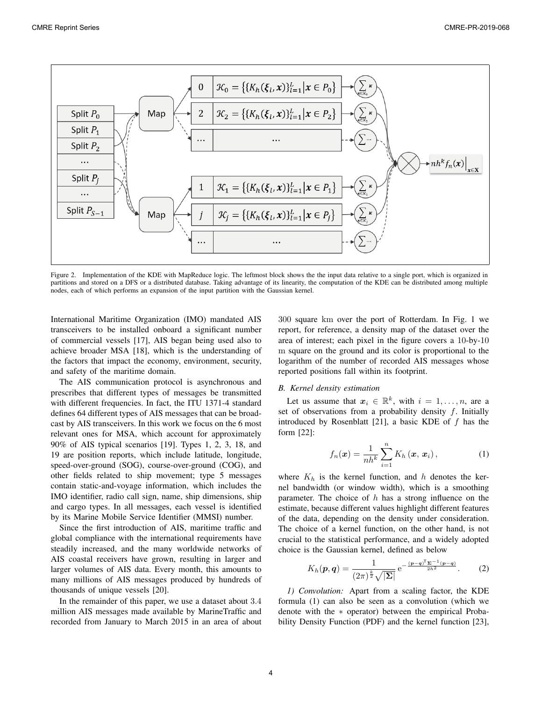

Figure 2. Implementation of the KDE with MapReduce logic. The leftmost block shows the the input data relative to a single port, which is organized in partitions and stored on a DFS or a distributed database. Taking advantage of its linearity, the computation of the KDE can be distributed among multiple nodes, each of which performs an expansion of the input partition with the Gaussian kernel.

International Maritime Organization (IMO) mandated AIS transceivers to be installed onboard a significant number of commercial vessels [17], AIS began being used also to achieve broader MSA [18], which is the understanding of the factors that impact the economy, environment, security, and safety of the maritime domain.

The AIS communication protocol is asynchronous and prescribes that different types of messages be transmitted with different frequencies. In fact, the ITU 1371-4 standard defines 64 different types of AIS messages that can be broadcast by AIS transceivers. In this work we focus on the 6 most relevant ones for MSA, which account for approximately 90% of AIS typical scenarios [19]. Types 1, 2, 3, 18, and 19 are position reports, which include latitude, longitude, speed-over-ground (SOG), course-over-ground (COG), and other fields related to ship movement; type 5 messages contain static-and-voyage information, which includes the IMO identifier, radio call sign, name, ship dimensions, ship and cargo types. In all messages, each vessel is identified by its Marine Mobile Service Identifier (MMSI) number.

Since the first introduction of AIS, maritime traffic and global compliance with the international requirements have steadily increased, and the many worldwide networks of AIS coastal receivers have grown, resulting in larger and larger volumes of AIS data. Every month, this amounts to many millions of AIS messages produced by hundreds of thousands of unique vessels [20].

In the remainder of this paper, we use a dataset about <sup>3</sup>.<sup>4</sup> million AIS messages made available by MarineTraffic and recorded from January to March 2015 in an area of about 300 square km over the port of Rotterdam. In Fig. 1 we report, for reference, a density map of the dataset over the area of interest; each pixel in the figure covers a 10-by-10 m square on the ground and its color is proportional to the logarithm of the number of recorded AIS messages whose reported positions fall within its footprint.

#### *B. Kernel density estimation*

Let us assume that  $x_i \in \mathbb{R}^k$ , with  $i = 1, \ldots, n$ , are a set of observations from a probability density  $f$ . Initially introduced by Rosenblatt [21], a basic KDE of  $f$  has the form [22]:

$$
f_n(\boldsymbol{x}) = \frac{1}{nh^k} \sum_{i=1}^n K_h(\boldsymbol{x}, \boldsymbol{x}_i), \qquad (1)
$$

where  $K_h$  is the kernel function, and h denotes the kernel bandwidth (or window width), which is a smoothing parameter. The choice of  $h$  has a strong influence on the estimate, because different values highlight different features of the data, depending on the density under consideration. The choice of a kernel function, on the other hand, is not crucial to the statistical performance, and a widely adopted choice is the Gaussian kernel, defined as below

$$
K_h(\boldsymbol{p}, \boldsymbol{q}) = \frac{1}{(2\pi)^{\frac{k}{2}}\sqrt{|\boldsymbol{\Sigma}|}} e^{-\frac{(\boldsymbol{p}-\boldsymbol{q})^{\mathsf{T}}\boldsymbol{\Sigma}^{-1}(\boldsymbol{p}-\boldsymbol{q})}{2h^2}}.
$$
 (2)

*1) Convolution:* Apart from a scaling factor, the KDE formula (1) can also be seen as a convolution (which we denote with the ∗ operator) between the empirical Probability Density Function (PDF) and the kernel function [23],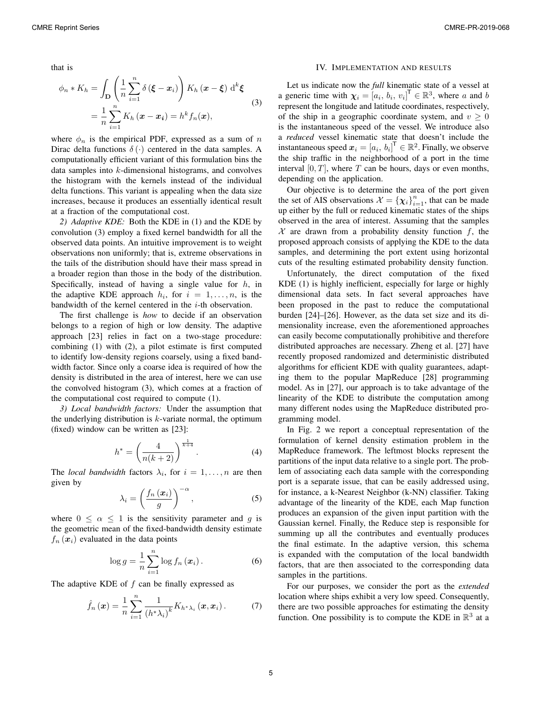that is

$$
\phi_n * K_h = \int_{\mathbf{D}} \left( \frac{1}{n} \sum_{i=1}^n \delta(\boldsymbol{\xi} - \boldsymbol{x}_i) \right) K_h(\boldsymbol{x} - \boldsymbol{\xi}) d^k \boldsymbol{\xi}
$$
  
= 
$$
\frac{1}{n} \sum_{i=1}^n K_h(\boldsymbol{x} - \boldsymbol{x}_i) = h^k f_n(\boldsymbol{x}),
$$
 (3)

where  $\phi_n$  is the empirical PDF, expressed as a sum of n Dirac delta functions  $\delta(\cdot)$  centered in the data samples. A computationally efficient variant of this formulation bins the data samples into k-dimensional histograms, and convolves the histogram with the kernels instead of the individual delta functions. This variant is appealing when the data size increases, because it produces an essentially identical result at a fraction of the computational cost.

*2) Adaptive KDE:* Both the KDE in (1) and the KDE by convolution (3) employ a fixed kernel bandwidth for all the observed data points. An intuitive improvement is to weight observations non uniformly; that is, extreme observations in the tails of the distribution should have their mass spread in a broader region than those in the body of the distribution. Specifically, instead of having a single value for  $h$ , in the adaptive KDE approach  $h_i$ , for  $i = 1, \ldots, n$ , is the bandwidth of the kernel centered in the i-th observation.

The first challenge is *how* to decide if an observation belongs to a region of high or low density. The adaptive approach [23] relies in fact on a two-stage procedure: combining (1) with (2), a pilot estimate is first computed to identify low-density regions coarsely, using a fixed bandwidth factor. Since only a coarse idea is required of how the density is distributed in the area of interest, here we can use the convolved histogram (3), which comes at a fraction of the computational cost required to compute (1).

*3) Local bandwidth factors:* Under the assumption that the underlying distribution is  $k$ -variate normal, the optimum (fixed) window can be written as [23]:

$$
h^* = \left(\frac{4}{n(k+2)}\right)^{\frac{1}{k+4}}.\tag{4}
$$

The *local bandwidth* factors  $\lambda_i$ , for  $i = 1, \ldots, n$  are then given by

$$
\lambda_i = \left(\frac{f_n\left(\boldsymbol{x}_i\right)}{g}\right)^{-\alpha},\tag{5}
$$

where  $0 \le \alpha \le 1$  is the sensitivity parameter and g is<br>the geometric mean of the fixed-bandwidth density estimate the geometric mean of the fixed-bandwidth density estimate  $f_n(x_i)$  evaluated in the data points

$$
\log g = \frac{1}{n} \sum_{i=1}^{n} \log f_n(\boldsymbol{x}_i).
$$
 (6)

The adaptive KDE of  $f$  can be finally expressed as

$$
\hat{f}_n\left(\boldsymbol{x}\right) = \frac{1}{n} \sum_{i=1}^n \frac{1}{\left(h^*\lambda_i\right)^k} K_{h^*\lambda_i}\left(\boldsymbol{x}, \boldsymbol{x}_i\right). \tag{7}
$$

#### IV. IMPLEMENTATION AND RESULTS

Let us indicate now the *full* kinematic state of a vessel at a generic time with  $\chi_i = [a_i, b_i, v_i]^\mathsf{T} \in \mathbb{R}^3$ , where a and b<br>represent the longitude and latitude coordinates, respectively represent the longitude and latitude coordinates, respectively, of the ship in a geographic coordinate system, and  $v \geq 0$ is the instantaneous speed of the vessel. We introduce also a *reduced* vessel kinematic state that doesn't include the instantaneous speed  $x_i = [a_i, b_i]^T \in \mathbb{R}^2$ . Finally, we observe<br>the ship traffic in the neighborhood of a port in the time the ship traffic in the neighborhood of a port in the time interval  $[0, T]$ , where T can be hours, days or even months, depending on the application.

Our objective is to determine the area of the port given the set of AIS observations  $\mathcal{X} = {\chi_i}_{i=1}^n$ , that can be made up either by the full or reduced kinematic states of the ships observed in the area of interest. Assuming that the samples  $X$  are drawn from a probability density function f, the proposed approach consists of applying the KDE to the data samples, and determining the port extent using horizontal cuts of the resulting estimated probability density function.

Unfortunately, the direct computation of the fixed KDE (1) is highly inefficient, especially for large or highly dimensional data sets. In fact several approaches have been proposed in the past to reduce the computational burden [24]–[26]. However, as the data set size and its dimensionality increase, even the aforementioned approaches can easily become computationally prohibitive and therefore distributed approaches are necessary. Zheng et al. [27] have recently proposed randomized and deterministic distributed algorithms for efficient KDE with quality guarantees, adapting them to the popular MapReduce [28] programming model. As in [27], our approach is to take advantage of the linearity of the KDE to distribute the computation among many different nodes using the MapReduce distributed programming model.

In Fig. 2 we report a conceptual representation of the formulation of kernel density estimation problem in the MapReduce framework. The leftmost blocks represent the partitions of the input data relative to a single port. The problem of associating each data sample with the corresponding port is a separate issue, that can be easily addressed using, for instance, a k-Nearest Neighbor (k-NN) classifier. Taking advantage of the linearity of the KDE, each Map function produces an expansion of the given input partition with the Gaussian kernel. Finally, the Reduce step is responsible for summing up all the contributes and eventually produces the final estimate. In the adaptive version, this schema is expanded with the computation of the local bandwidth factors, that are then associated to the corresponding data samples in the partitions.

For our purposes, we consider the port as the *extended* location where ships exhibit a very low speed. Consequently, there are two possible approaches for estimating the density function. One possibility is to compute the KDE in  $\mathbb{R}^3$  at a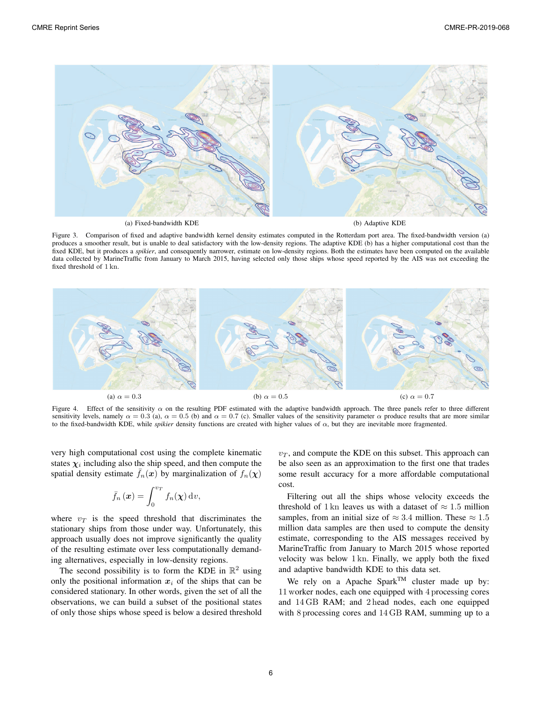

Figure 3. Comparison of fixed and adaptive bandwidth kernel density estimates computed in the Rotterdam port area. The fixed-bandwidth version (a) produces a smoother result, but is unable to deal satisfactory with the low-density regions. The adaptive KDE  $(b)$  has a higher computational cost than the fixed KDE, but it produces a *spikier*, and consequently narrower, estimate on low-density regions. Both the estimates have been computed on the available data collected by MarineTraffic from January to March 2015, having selected only those ships whose speed reported by the AIS was not exceeding the fixed threshold of 1 kn.



Figure 4. Effect of the sensitivity  $\alpha$  on the resulting PDF estimated with the adaptive bandwidth approach. The three panels refer to three different sensitivity levels, namely  $\alpha = 0.3$  (a),  $\alpha = 0.5$  (b) and  $\alpha = 0.7$  (c). Smaller values of the sensitivity parameter  $\alpha$  produce results that are more similar to the fixed-bandwidth KDE, while *spikier* density functions are created with higher values of  $α$ , but they are inevitable more fragmented.

very high computational cost using the complete kinematic states  $\chi_i$  including also the ship speed, and then compute the spatial density estimate  $f_n(x)$  by marginalization of  $f_n(\chi)$ 

$$
\bar{f}_n(\boldsymbol{x}) = \int_0^{v_T} f_n(\boldsymbol{\chi}) \, \mathrm{d}v,
$$

where  $v_T$  is the speed threshold that discriminates the stationary ships from those under way. Unfortunately, this approach usually does not improve significantly the quality of the resulting estimate over less computationally demanding alternatives, especially in low-density regions.

The second possibility is to form the KDE in  $\mathbb{R}^2$  using only the positional information  $x_i$  of the ships that can be considered stationary. In other words, given the set of all the observations, we can build a subset of the positional states of only those ships whose speed is below a desired threshold  $v_T$ , and compute the KDE on this subset. This approach can be also seen as an approximation to the first one that trades some result accuracy for a more affordable computational cost.

Filtering out all the ships whose velocity exceeds the threshold of 1 kn leaves us with a dataset of  $\approx 1.5$  million samples, from an initial size of  $\approx 3.4$  million. These  $\approx 1.5$ million data samples are then used to compute the density estimate, corresponding to the AIS messages received by MarineTraffic from January to March 2015 whose reported velocity was below 1 kn. Finally, we apply both the fixed and adaptive bandwidth KDE to this data set.

We rely on a Apache Spark<sup>TM</sup> cluster made up by: 11 worker nodes, each one equipped with 4 processing cores and 14 GB RAM; and 2 head nodes, each one equipped with 8 processing cores and 14 GB RAM, summing up to a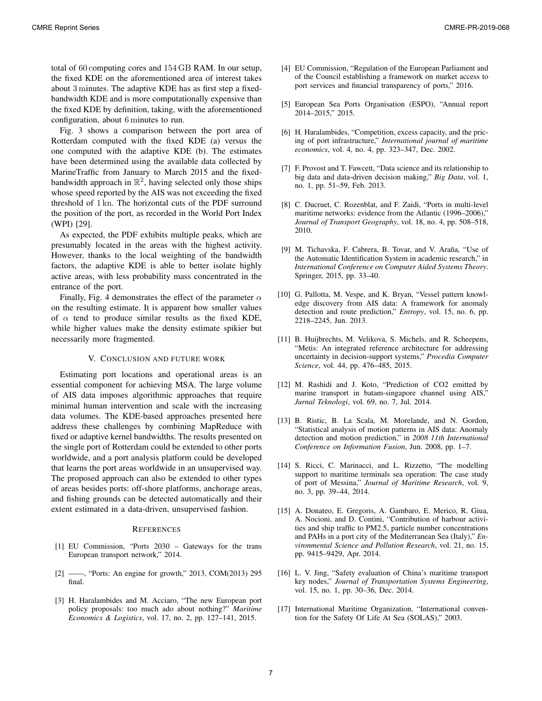total of 60 computing cores and 154 GB RAM. In our setup, the fixed KDE on the aforementioned area of interest takes about 3 minutes. The adaptive KDE has as first step a fixedbandwidth KDE and is more computationally expensive than the fixed KDE by definition, taking, with the aforementioned configuration, about 6 minutes to run.

Fig. 3 shows a comparison between the port area of Rotterdam computed with the fixed KDE (a) versus the one computed with the adaptive KDE (b). The estimates have been determined using the available data collected by MarineTraffic from January to March 2015 and the fixedbandwidth approach in  $\mathbb{R}^2$ , having selected only those ships whose speed reported by the AIS was not exceeding the fixed threshold of 1 kn. The horizontal cuts of the PDF surround the position of the port, as recorded in the World Port Index (WPI) [29].

As expected, the PDF exhibits multiple peaks, which are presumably located in the areas with the highest activity. However, thanks to the local weighting of the bandwidth factors, the adaptive KDE is able to better isolate highly active areas, with less probability mass concentrated in the entrance of the port.

Finally, Fig. 4 demonstrates the effect of the parameter  $\alpha$ on the resulting estimate. It is apparent how smaller values of  $\alpha$  tend to produce similar results as the fixed KDE, while higher values make the density estimate spikier but necessarily more fragmented.

#### V. CONCLUSION AND FUTURE WORK

Estimating port locations and operational areas is an essential component for achieving MSA. The large volume of AIS data imposes algorithmic approaches that require minimal human intervention and scale with the increasing data volumes. The KDE-based approaches presented here address these challenges by combining MapReduce with fixed or adaptive kernel bandwidths. The results presented on the single port of Rotterdam could be extended to other ports worldwide, and a port analysis platform could be developed that learns the port areas worldwide in an unsupervised way. The proposed approach can also be extended to other types of areas besides ports: off-shore platforms, anchorage areas, and fishing grounds can be detected automatically and their extent estimated in a data-driven, unsupervised fashion.

#### **REFERENCES**

- [1] EU Commission, "Ports 2030 Gateways for the trans European transport network," 2014.
- [2] ——, "Ports: An engine for growth," 2013, COM(2013) 295 final.
- [3] H. Haralambides and M. Acciaro, "The new European port policy proposals: too much ado about nothing?" *Maritime Economics & Logistics*, vol. 17, no. 2, pp. 127–141, 2015.
- [4] EU Commission, "Regulation of the European Parliament and of the Council establishing a framework on market access to port services and financial transparency of ports," 2016.
- [5] European Sea Ports Organisation (ESPO), "Annual report 2014–2015," 2015.
- [6] H. Haralambides, "Competition, excess capacity, and the pricing of port infrastructure," *International journal of maritime economics*, vol. 4, no. 4, pp. 323–347, Dec. 2002.
- [7] F. Provost and T. Fawcett, "Data science and its relationship to big data and data-driven decision making," *Big Data*, vol. 1, no. 1, pp. 51–59, Feb. 2013.
- [8] C. Ducruet, C. Rozenblat, and F. Zaidi, "Ports in multi-level maritime networks: evidence from the Atlantic (1996–2006)," *Journal of Transport Geography*, vol. 18, no. 4, pp. 508–518, 2010.
- [9] M. Tichavska, F. Cabrera, B. Tovar, and V. Araña, "Use of the Automatic Identification System in academic research," in *International Conference on Computer Aided Systems Theory*. Springer, 2015, pp. 33–40.
- [10] G. Pallotta, M. Vespe, and K. Bryan, "Vessel pattern knowledge discovery from AIS data: A framework for anomaly detection and route prediction," *Entropy*, vol. 15, no. 6, pp. 2218–2245, Jun. 2013.
- [11] B. Huijbrechts, M. Velikova, S. Michels, and R. Scheepens, "Metis: An integrated reference architecture for addressing uncertainty in decision-support systems," *Procedia Computer Science*, vol. 44, pp. 476–485, 2015.
- [12] M. Rashidi and J. Koto, "Prediction of CO2 emitted by marine transport in batam-singapore channel using AIS," *Jurnal Teknologi*, vol. 69, no. 7, Jul. 2014.
- [13] B. Ristic, B. La Scala, M. Morelande, and N. Gordon, "Statistical analysis of motion patterns in AIS data: Anomaly detection and motion prediction," in *2008 11th International Conference on Information Fusion*, Jun. 2008, pp. 1–7.
- [14] S. Ricci, C. Marinacci, and L. Rizzetto, "The modelling support to maritime terminals sea operation: The case study of port of Messina," *Journal of Maritime Research*, vol. 9, no. 3, pp. 39–44, 2014.
- [15] A. Donateo, E. Gregoris, A. Gambaro, E. Merico, R. Giua, A. Nocioni, and D. Contini, "Contribution of harbour activities and ship traffic to PM2.5, particle number concentrations and PAHs in a port city of the Mediterranean Sea (Italy)," *Environmental Science and Pollution Research*, vol. 21, no. 15, pp. 9415–9429, Apr. 2014.
- [16] L. V. Jing, "Safety evaluation of China's maritime transport key nodes," *Journal of Transportation Systems Engineering*, vol. 15, no. 1, pp. 30–36, Dec. 2014.
- [17] International Maritime Organization, "International convention for the Safety Of Life At Sea (SOLAS)," 2003.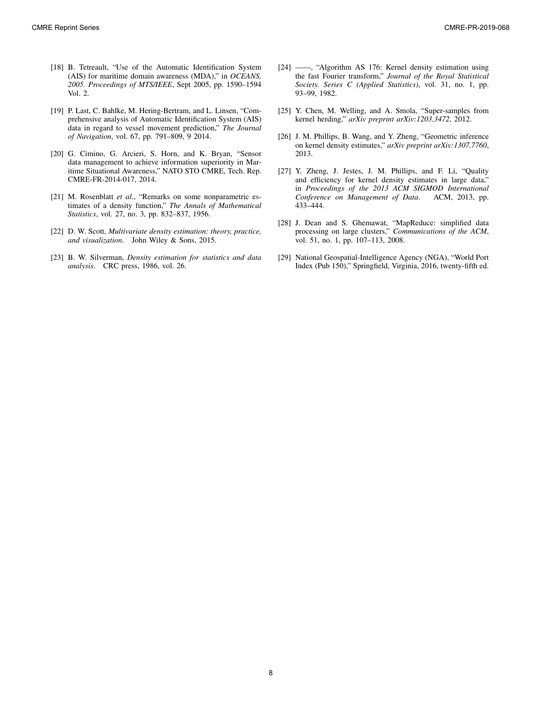- [18] B. Tetreault, "Use of the Automatic Identification System (AIS) for maritime domain awareness (MDA)," in *OCEANS, 2005. Proceedings of MTS/IEEE*, Sept 2005, pp. 1590–1594 Vol. 2.
- [19] P. Last, C. Bahlke, M. Hering-Bertram, and L. Linsen, "Comprehensive analysis of Automatic Identification System (AIS) data in regard to vessel movement prediction," *The Journal of Navigation*, vol. 67, pp. 791–809, 9 2014.
- [20] G. Cimino, G. Arcieri, S. Horn, and K. Bryan, "Sensor data management to achieve information superiority in Maritime Situational Awareness," NATO STO CMRE, Tech. Rep. CMRE-FR-2014-017, 2014.
- [21] M. Rosenblatt *et al.*, "Remarks on some nonparametric estimates of a density function," *The Annals of Mathematical Statistics*, vol. 27, no. 3, pp. 832–837, 1956.
- [22] D. W. Scott, *Multivariate density estimation: theory, practice, and visualization*. John Wiley & Sons, 2015.
- [23] B. W. Silverman, *Density estimation for statistics and data analysis*. CRC press, 1986, vol. 26.
- [24] ——, "Algorithm AS 176: Kernel density estimation using the fast Fourier transform," *Journal of the Royal Statistical Society. Series C (Applied Statistics)*, vol. 31, no. 1, pp. 93–99, 1982.
- [25] Y. Chen, M. Welling, and A. Smola, "Super-samples from kernel herding," *arXiv preprint arXiv:1203.3472*, 2012.
- [26] J. M. Phillips, B. Wang, and Y. Zheng, "Geometric inference on kernel density estimates," *arXiv preprint arXiv:1307.7760*, 2013.
- [27] Y. Zheng, J. Jestes, J. M. Phillips, and F. Li, "Quality and efficiency for kernel density estimates in large data," in *Proceedings of the 2013 ACM SIGMOD International Conference on Management of Data*. ACM, 2013, pp. 433–444.
- [28] J. Dean and S. Ghemawat, "MapReduce: simplified data processing on large clusters," *Communications of the ACM*, vol. 51, no. 1, pp. 107–113, 2008.
- [29] National Geospatial-Intelligence Agency (NGA), "World Port Index (Pub 150)," Springfield, Virginia, 2016, twenty-fifth ed.